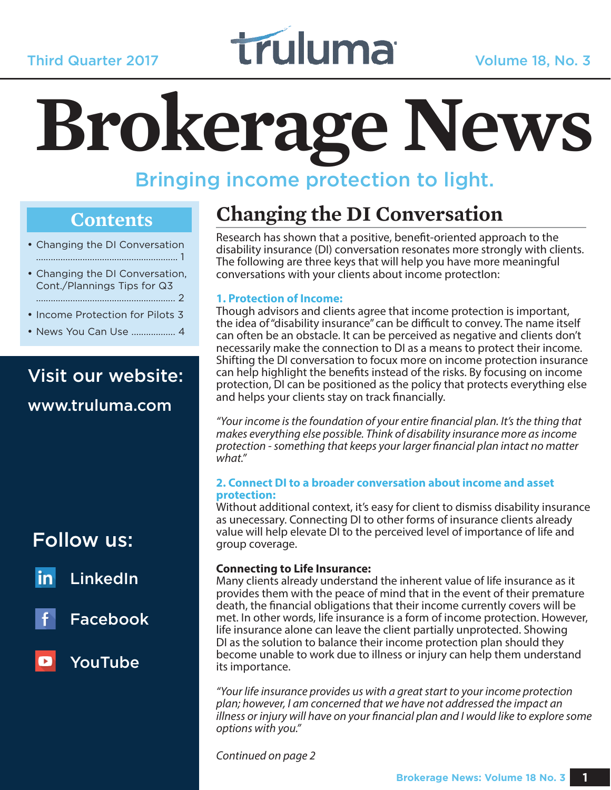

# **Brokerage News**

## Bringing income protection to light.

#### **Contents**

- Changing the DI Conversation .......................................................... 1
- Changing the DI Conversation, Cont./Plannings Tips for Q3 ......................................................... 2
- Income Protection for Pilots 3
- News You Can Use .................. 4

## Visit our website:

www.truluma.com

## Follow us:



LinkedIn



Facebook

## YouTube

## **Changing the DI Conversation**

Research has shown that a positive, benefit-oriented approach to the disability insurance (DI) conversation resonates more strongly with clients. The following are three keys that will help you have more meaningful conversations with your clients about income protectIon:

#### **1. Protection of Income:**

Though advisors and clients agree that income protection is important, the idea of "disability insurance" can be difficult to convey. The name itself can often be an obstacle. It can be perceived as negative and clients don't necessarily make the connection to DI as a means to protect their income. Shifting the DI conversation to focux more on income protection insurance can help highlight the benefits instead of the risks. By focusing on income protection, DI can be positioned as the policy that protects everything else and helps your clients stay on track financially.

"Your income is the foundation of your entire financial plan. It's the thing that makes everything else possible. Think of disability insurance more as income protection - something that keeps your larger financial plan intact no matter what."

#### **2. Connect DI to a broader conversation about income and asset protection:**

Without additional context, it's easy for client to dismiss disability insurance as unecessary. Connecting DI to other forms of insurance clients already value will help elevate DI to the perceived level of importance of life and group coverage.

#### **Connecting to Life Insurance:**

Many clients already understand the inherent value of life insurance as it provides them with the peace of mind that in the event of their premature death, the financial obligations that their income currently covers will be met. In other words, life insurance is a form of income protection. However, life insurance alone can leave the client partially unprotected. Showing DI as the solution to balance their income protection plan should they become unable to work due to illness or injury can help them understand its importance.

"Your life insurance provides us with a great start to your income protection plan; however, I am concerned that we have not addressed the impact an  $\ddot{\tilde{}}$ illness or injury will have on your financial plan and I would like to explore some options with you."

Continued on page 2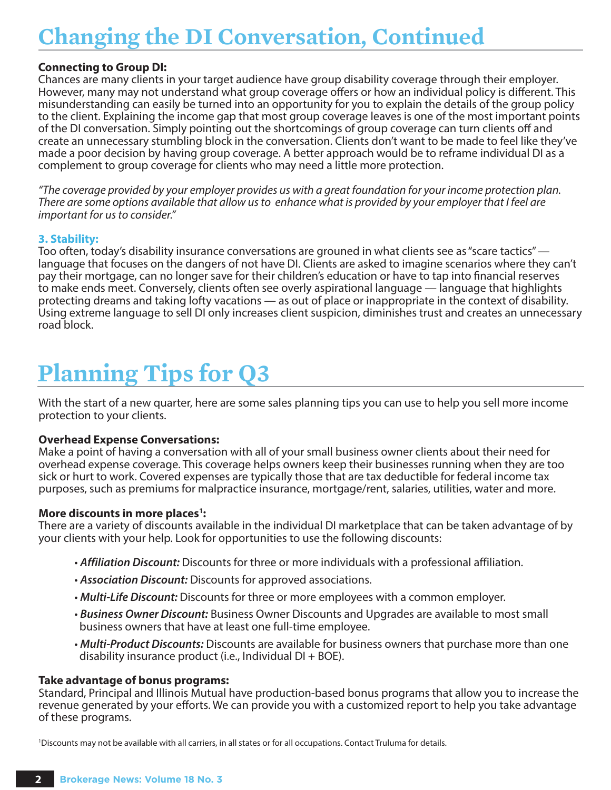## **Changing the DI Conversation, Continued**

#### **Connecting to Group DI:**

Chances are many clients in your target audience have group disability coverage through their employer. However, many may not understand what group coverage offers or how an individual policy is different. This misunderstanding can easily be turned into an opportunity for you to explain the details of the group policy to the client. Explaining the income gap that most group coverage leaves is one of the most important points of the DI conversation. Simply pointing out the shortcomings of group coverage can turn clients off and create an unnecessary stumbling block in the conversation. Clients don't want to be made to feel like they've made a poor decision by having group coverage. A better approach would be to reframe individual DI as a complement to group coverage for clients who may need a little more protection.

"The coverage provided by your employer provides us with a great foundation for your income protection plan. There are some options available that allow us to enhance what is provided by your employer that I feel are important for us to consider."

#### **3. Stability:**

Too often, today's disability insurance conversations are grouned in what clients see as "scare tactics" language that focuses on the dangers of not have DI. Clients are asked to imagine scenarios where they can't pay their mortgage, can no longer save for their children's education or have to tap into financial reserves to make ends meet. Conversely, clients often see overly aspirational language — language that highlights protecting dreams and taking lofty vacations — as out of place or inappropriate in the context of disability. Using extreme language to sell DI only increases client suspicion, diminishes trust and creates an unnecessary road block.

## **Planning Tips for Q3**

With the start of a new quarter, here are some sales planning tips you can use to help you sell more income protection to your clients.

#### **Overhead Expense Conversations:**

Make a point of having a conversation with all of your small business owner clients about their need for overhead expense coverage. This coverage helps owners keep their businesses running when they are too sick or hurt to work. Covered expenses are typically those that are tax deductible for federal income tax purposes, such as premiums for malpractice insurance, mortgage/rent, salaries, utilities, water and more.

#### More discounts in more places<sup>1</sup>:

There are a variety of discounts available in the individual DI marketplace that can be taken advantage of by your clients with your help. Look for opportunities to use the following discounts:

- **Affiliation Discount:** Discounts for three or more individuals with a professional affiliation.
- **Association Discount:** Discounts for approved associations.
- **Multi-Life Discount:** Discounts for three or more employees with a common employer.
- **Business Owner Discount:** Business Owner Discounts and Upgrades are available to most small business owners that have at least one full-time employee.
- **Multi-Product Discounts:** Discounts are available for business owners that purchase more than one disability insurance product (i.e., Individual  $DI + BOE$ ).

#### **Take advantage of bonus programs:**

Standard, Principal and Illinois Mutual have production-based bonus programs that allow you to increase the revenue generated by your efforts. We can provide you with a customized report to help you take advantage of these programs.

1 Discounts may not be available with all carriers, in all states or for all occupations. Contact Truluma for details.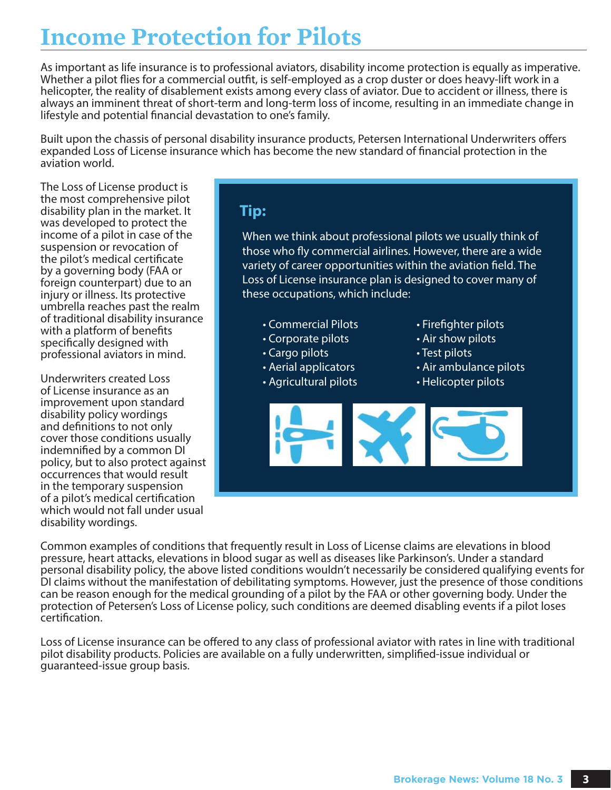## **Income Protection for Pilots**

As important as life insurance is to professional aviators, disability income protection is equally as imperative. Whether a pilot flies for a commercial outfit, is self-employed as a crop duster or does heavy-lift work in a helicopter, the reality of disablement exists among every class of aviator. Due to accident or illness, there is always an imminent threat of short-term and long-term loss of income, resulting in an immediate change in lifestyle and potential financial devastation to one's family.

Built upon the chassis of personal disability insurance products, Petersen International Underwriters offers expanded Loss of License insurance which has become the new standard of financial protection in the aviation world.

The Loss of License product is the most comprehensive pilot disability plan in the market. It was developed to protect the income of a pilot in case of the suspension or revocation of the pilot's medical certificate by a governing body (FAA or foreign counterpart) due to an injury or illness. Its protective umbrella reaches past the realm of traditional disability insurance with a platform of benefits specifically designed with professional aviators in mind.

Underwriters created Loss of License insurance as an improvement upon standard disability policy wordings and definitions to not only cover those conditions usually indemnified by a common DI policy, but to also protect against occurrences that would result in the temporary suspension of a pilot's medical certification which would not fall under usual disability wordings.

#### **Tip:**

When we think about professional pilots we usually think of those who fly commercial airlines. However, there are a wide variety of career opportunities within the aviation field. The Loss of License insurance plan is designed to cover many of these occupations, which include:

- Commercial Pilots
- Corporate pilots
- Cargo pilots
- Aerial applicators
- Agricultural pilots
- Firefighter pilots
- Air show pilots
- Test pilots
- Air ambulance pilots
- Helicopter pilots



Common examples of conditions that frequently result in Loss of License claims are elevations in blood pressure, heart attacks, elevations in blood sugar as well as diseases like Parkinson's. Under a standard personal disability policy, the above listed conditions wouldn't necessarily be considered qualifying events for DI claims without the manifestation of debilitating symptoms. However, just the presence of those conditions can be reason enough for the medical grounding of a pilot by the FAA or other governing body. Under the protection of Petersen's Loss of License policy, such conditions are deemed disabling events if a pilot loses certification.

Loss of License insurance can be offered to any class of professional aviator with rates in line with traditional pilot disability products. Policies are available on a fully underwritten, simplified-issue individual or guaranteed-issue group basis.